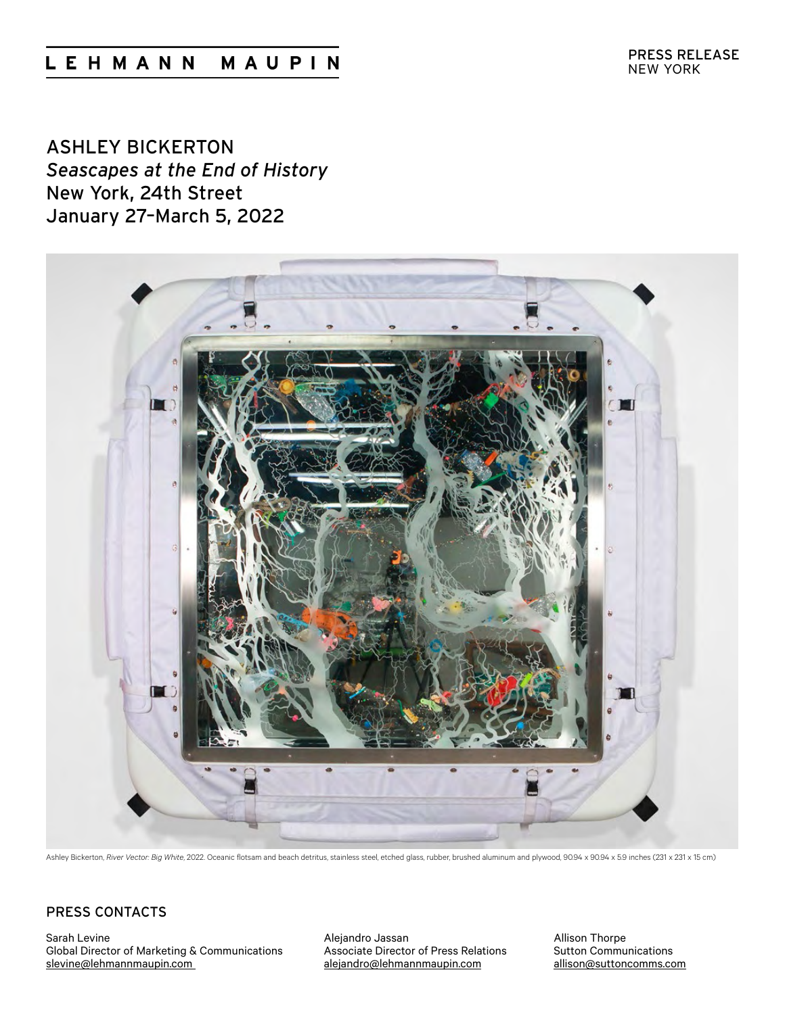# LEHMANN MAUPIN

ASHLEY BICKERTON *Seascapes at the End of History* New York, 24th Street January 27–March 5, 2022



Ashley Bickerton, *River Vector: Big White*, 2022. Oceanic flotsam and beach detritus, stainless steel, etched glass, rubber, brushed aluminum and plywood, 90.94 x 90.94 x 5.9 inches (231 x 231 x 15 cm)

## [P](mailto:allison%40suttoncomms.com?subject=Lehmann%20Maupin%3A%20Do%20Ho%20Suh)RESS CONTACTS

Sarah Levine Global Director of Marketing & Communications [slevine@lehmannmaupin.com](mailto:slevine%40lehmannmaupin.com?subject=)

Alejandro Jassan Associate Director of Press Relations [alejandro@lehmannmaupin.com](mailto:alejandro%40lehmannmaupin.com?subject=)

Allison Thorpe Sutton Communications allison@suttoncomms.com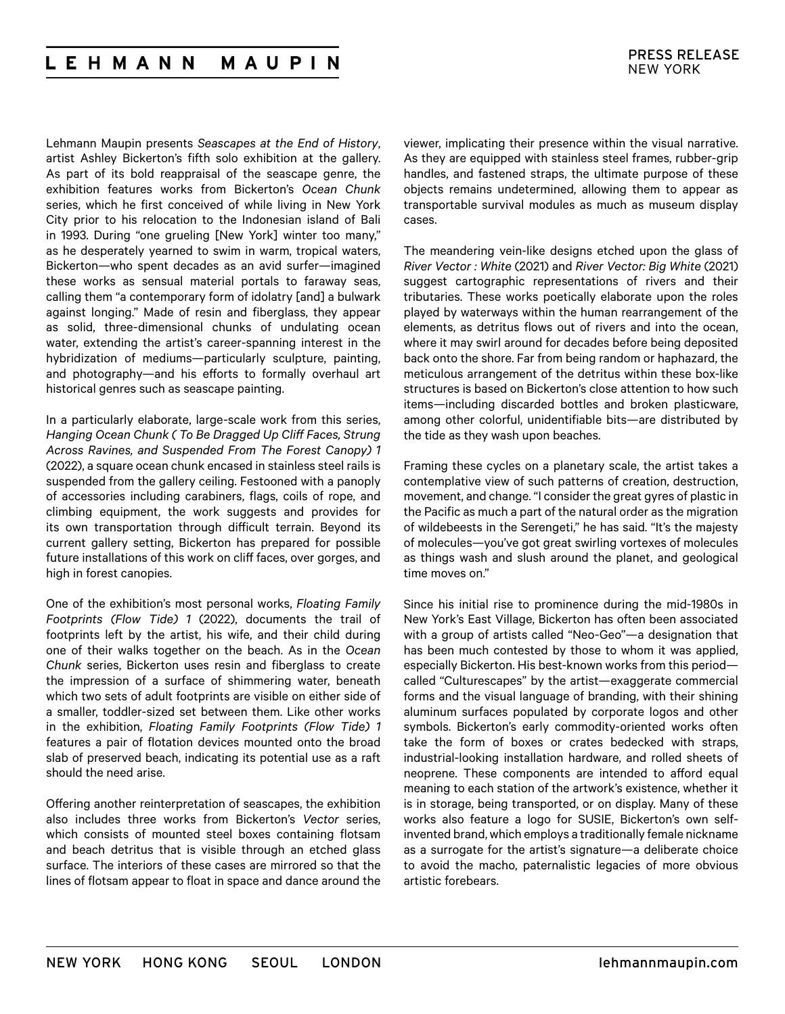#### **LEHMANN** MAUPIN

Lehmann Maupin presents *Seascapes at the End of History*, artist Ashley Bickerton's fifth solo exhibition at the gallery. As part of its bold reappraisal of the seascape genre, the exhibition features works from Bickerton's *Ocean Chunk*  series, which he first conceived of while living in New York City prior to his relocation to the Indonesian island of Bali in 1993. During "one grueling [New York] winter too many," as he desperately yearned to swim in warm, tropical waters, Bickerton—who spent decades as an avid surfer—imagined these works as sensual material portals to faraway seas, calling them "a contemporary form of idolatry [and] a bulwark against longing." Made of resin and fiberglass, they appear as solid, three-dimensional chunks of undulating ocean water, extending the artist's career-spanning interest in the hybridization of mediums—particularly sculpture, painting, and photography—and his efforts to formally overhaul art historical genres such as seascape painting.

In a particularly elaborate, large-scale work from this series, *Hanging Ocean Chunk ( To Be Dragged Up Cliff Faces, Strung Across Ravines, and Suspended From The Forest Canopy) 1*  (2022), a square ocean chunk encased in stainless steel rails is suspended from the gallery ceiling. Festooned with a panoply of accessories including carabiners, flags, coils of rope, and climbing equipment, the work suggests and provides for its own transportation through difficult terrain. Beyond its current gallery setting, Bickerton has prepared for possible future installations of this work on cliff faces, over gorges, and high in forest canopies.

One of the exhibition's most personal works, *Floating Family Footprints (Flow Tide) 1* (2022), documents the trail of footprints left by the artist, his wife, and their child during one of their walks together on the beach. As in the *Ocean Chunk* series, Bickerton uses resin and fiberglass to create the impression of a surface of shimmering water, beneath which two sets of adult footprints are visible on either side of a smaller, toddler-sized set between them. Like other works in the exhibition, *Floating Family Footprints (Flow Tide) 1*  features a pair of flotation devices mounted onto the broad slab of preserved beach, indicating its potential use as a raft should the need arise.

Offering another reinterpretation of seascapes, the exhibition also includes three works from Bickerton's *Vector* series, which consists of mounted steel boxes containing flotsam and beach detritus that is visible through an etched glass surface. The interiors of these cases are mirrored so that the lines of flotsam appear to float in space and dance around the

viewer, implicating their presence within the visual narrative. As they are equipped with stainless steel frames, rubber-grip handles, and fastened straps, the ultimate purpose of these objects remains undetermined, allowing them to appear as transportable survival modules as much as museum display cases.

The meandering vein-like designs etched upon the glass of *River Vector : White* (2021) and *River Vector: Big White* (2021) suggest cartographic representations of rivers and their tributaries. These works poetically elaborate upon the roles played by waterways within the human rearrangement of the elements, as detritus flows out of rivers and into the ocean, where it may swirl around for decades before being deposited back onto the shore. Far from being random or haphazard, the meticulous arrangement of the detritus within these box-like structures is based on Bickerton's close attention to how such items—including discarded bottles and broken plasticware, among other colorful, unidentifiable bits—are distributed by the tide as they wash upon beaches.

Framing these cycles on a planetary scale, the artist takes a contemplative view of such patterns of creation, destruction, movement, and change. "I consider the great gyres of plastic in the Pacific as much a part of the natural order as the migration of wildebeests in the Serengeti," he has said. "It's the majesty of molecules—you've got great swirling vortexes of molecules as things wash and slush around the planet, and geological time moves on."

Since his initial rise to prominence during the mid-1980s in New York's East Village, Bickerton has often been associated with a group of artists called "Neo-Geo"—a designation that has been much contested by those to whom it was applied, especially Bickerton. His best-known works from this period called "Culturescapes" by the artist—exaggerate commercial forms and the visual language of branding, with their shining aluminum surfaces populated by corporate logos and other symbols. Bickerton's early commodity-oriented works often take the form of boxes or crates bedecked with straps, industrial-looking installation hardware, and rolled sheets of neoprene. These components are intended to afford equal meaning to each station of the artwork's existence, whether it is in storage, being transported, or on display. Many of these works also feature a logo for SUSIE, Bickerton's own selfinvented brand, which employs a traditionally female nickname as a surrogate for the artist's signature—a deliberate choice to avoid the macho, paternalistic legacies of more obvious artistic forebears.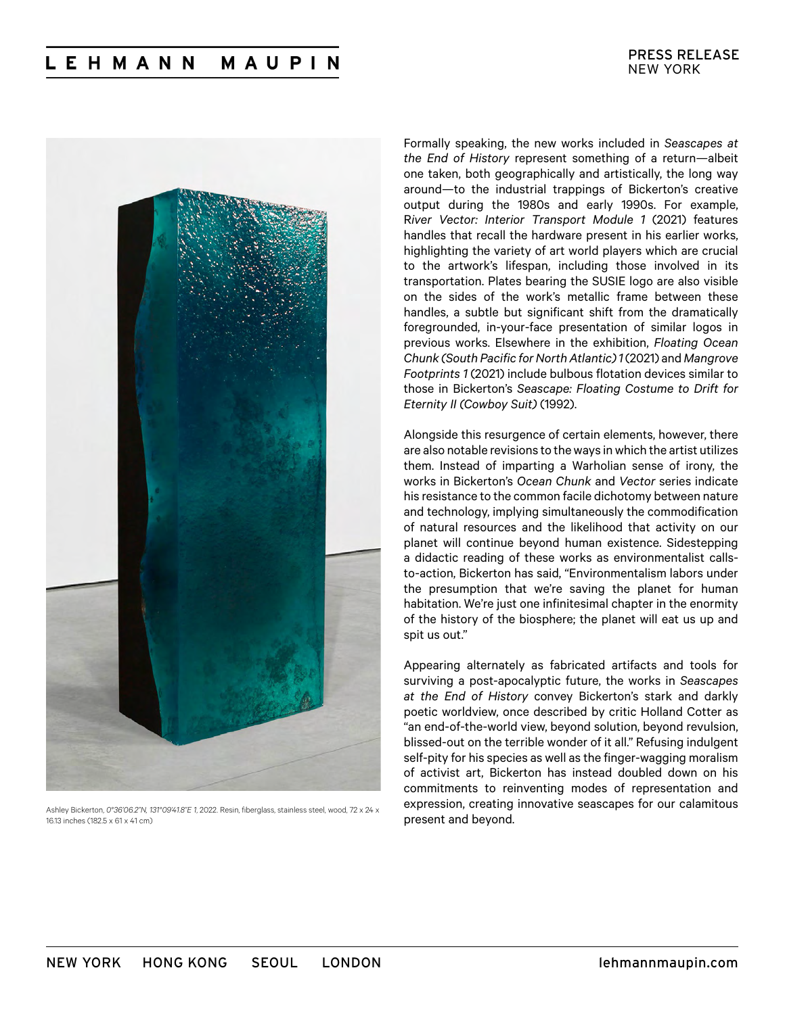

Ashley Bickerton, *0°36'06.2"N, 131°09'41.8"E 1*, 2022. Resin, fiberglass, stainless steel, wood, 72 x 24 x 16.13 inches (182.5 x 61 x 41 cm)

Formally speaking, the new works included in *Seascapes at the End of History* represent something of a return—albeit one taken, both geographically and artistically, the long way around—to the industrial trappings of Bickerton's creative output during the 1980s and early 1990s. For example, R*iver Vector: Interior Transport Module 1* (2021) features handles that recall the hardware present in his earlier works, highlighting the variety of art world players which are crucial to the artwork's lifespan, including those involved in its transportation. Plates bearing the SUSIE logo are also visible on the sides of the work's metallic frame between these handles, a subtle but significant shift from the dramatically foregrounded, in-your-face presentation of similar logos in previous works. Elsewhere in the exhibition, *Floating Ocean Chunk (South Pacific for North Atlantic) 1* (2021) and *Mangrove Footprints 1* (2021) include bulbous flotation devices similar to those in Bickerton's *Seascape: Floating Costume to Drift for Eternity II (Cowboy Suit)* (1992).

Alongside this resurgence of certain elements, however, there are also notable revisions to the ways in which the artist utilizes them. Instead of imparting a Warholian sense of irony, the works in Bickerton's *Ocean Chunk* and *Vector* series indicate his resistance to the common facile dichotomy between nature and technology, implying simultaneously the commodification of natural resources and the likelihood that activity on our planet will continue beyond human existence. Sidestepping a didactic reading of these works as environmentalist callsto-action, Bickerton has said, "Environmentalism labors under the presumption that we're saving the planet for human habitation. We're just one infinitesimal chapter in the enormity of the history of the biosphere; the planet will eat us up and spit us out."

Appearing alternately as fabricated artifacts and tools for surviving a post-apocalyptic future, the works in *Seascapes at the End of History* convey Bickerton's stark and darkly poetic worldview, once described by critic Holland Cotter as "an end-of-the-world view, beyond solution, beyond revulsion, blissed-out on the terrible wonder of it all." Refusing indulgent self-pity for his species as well as the finger-wagging moralism of activist art, Bickerton has instead doubled down on his commitments to reinventing modes of representation and expression, creating innovative seascapes for our calamitous present and beyond.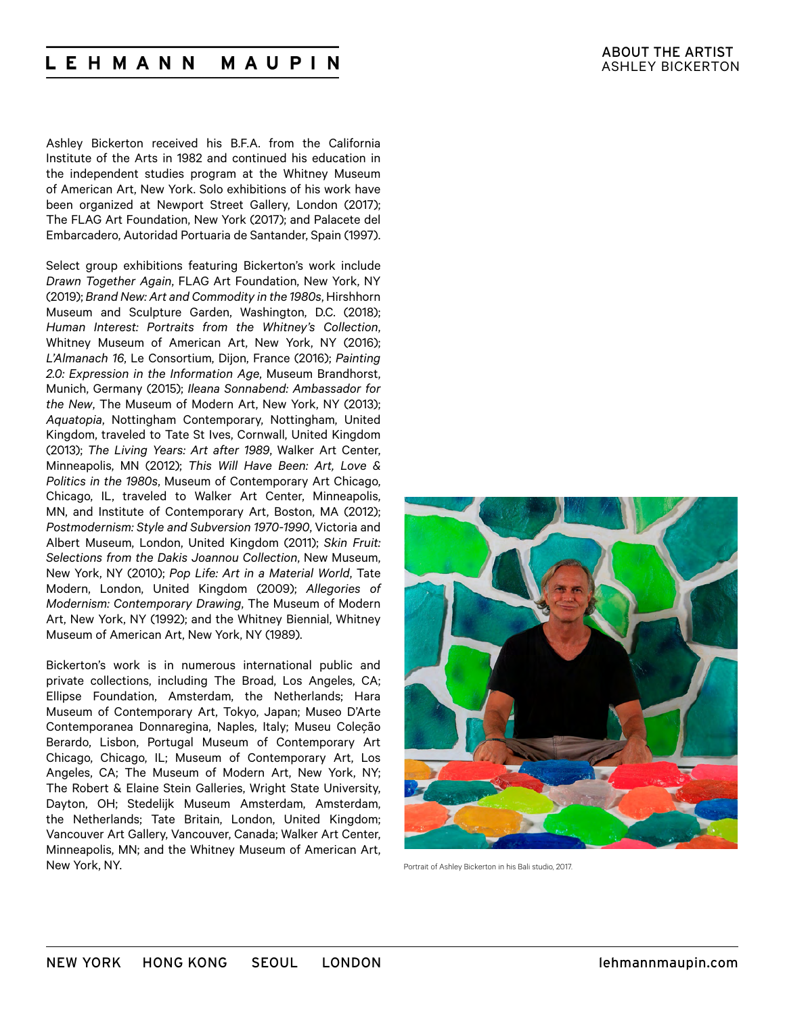#### **LEHMANN** MAUPIN

Ashley Bickerton received his B.F.A. from the California Institute of the Arts in 1982 and continued his education in the independent studies program at the Whitney Museum of American Art, New York. Solo exhibitions of his work have been organized at Newport Street Gallery, London (2017); The FLAG Art Foundation, New York (2017); and Palacete del Embarcadero, Autoridad Portuaria de Santander, Spain (1997).

Select group exhibitions featuring Bickerton's work include *Drawn Together Again*, FLAG Art Foundation, New York, NY (2019); *Brand New: Art and Commodity in the 1980s*, Hirshhorn Museum and Sculpture Garden, Washington, D.C. (2018); *Human Interest: Portraits from the Whitney's Collection*, Whitney Museum of American Art, New York, NY (2016); *L'Almanach 16*, Le Consortium, Dijon, France (2016); *Painting 2.0: Expression in the Information Age*, Museum Brandhorst, Munich, Germany (2015); *Ileana Sonnabend: Ambassador for the New*, The Museum of Modern Art, New York, NY (2013); *Aquatopia*, Nottingham Contemporary, Nottingham, United Kingdom, traveled to Tate St Ives, Cornwall, United Kingdom (2013); *The Living Years: Art after 1989*, Walker Art Center, Minneapolis, MN (2012); *This Will Have Been: Art, Love & Politics in the 1980s*, Museum of Contemporary Art Chicago, Chicago, IL, traveled to Walker Art Center, Minneapolis, MN, and Institute of Contemporary Art, Boston, MA (2012); *Postmodernism: Style and Subversion 1970-1990*, Victoria and Albert Museum, London, United Kingdom (2011); *Skin Fruit: Selections from the Dakis Joannou Collection*, New Museum, New York, NY (2010); *Pop Life: Art in a Material World*, Tate Modern, London, United Kingdom (2009); *Allegories of Modernism: Contemporary Drawing*, The Museum of Modern Art, New York, NY (1992); and the Whitney Biennial, Whitney Museum of American Art, New York, NY (1989).

Bickerton's work is in numerous international public and private collections, including The Broad, Los Angeles, CA; Ellipse Foundation, Amsterdam, the Netherlands; Hara Museum of Contemporary Art, Tokyo, Japan; Museo D'Arte Contemporanea Donnaregina, Naples, Italy; Museu Coleção Berardo, Lisbon, Portugal Museum of Contemporary Art Chicago, Chicago, IL; Museum of Contemporary Art, Los Angeles, CA; The Museum of Modern Art, New York, NY; The Robert & Elaine Stein Galleries, Wright State University, Dayton, OH; Stedelijk Museum Amsterdam, Amsterdam, the Netherlands; Tate Britain, London, United Kingdom; Vancouver Art Gallery, Vancouver, Canada; Walker Art Center, Minneapolis, MN; and the Whitney Museum of American Art, New York, NY.



Portrait of Ashley Bickerton in his Bali studio, 2017.